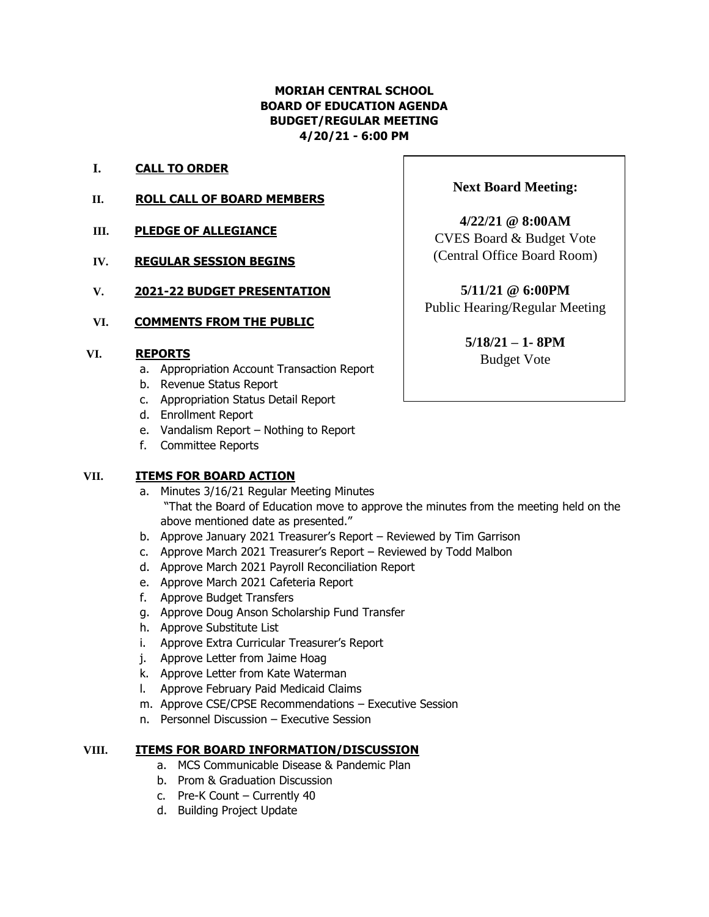## **MORIAH CENTRAL SCHOOL BOARD OF EDUCATION AGENDA BUDGET/REGULAR MEETING 4/20/21 - 6:00 PM**

- **I. CALL TO ORDER**
- **II. ROLL CALL OF BOARD MEMBERS**
- **III. PLEDGE OF ALLEGIANCE**
- **IV. REGULAR SESSION BEGINS**
- **V. 2021-22 BUDGET PRESENTATION**

### **VI. COMMENTS FROM THE PUBLIC**

#### **VI. REPORTS**

- a. Appropriation Account Transaction Report
- b. Revenue Status Report
- c. Appropriation Status Detail Report
- d. Enrollment Report
- e. Vandalism Report Nothing to Report
- f. Committee Reports

## **VII. ITEMS FOR BOARD ACTION**

- a. Minutes 3/16/21 Regular Meeting Minutes "That the Board of Education move to approve the minutes from the meeting held on the above mentioned date as presented."
- b. Approve January 2021 Treasurer's Report Reviewed by Tim Garrison
- c. Approve March 2021 Treasurer's Report Reviewed by Todd Malbon
- d. Approve March 2021 Payroll Reconciliation Report
- e. Approve March 2021 Cafeteria Report
- f. Approve Budget Transfers
- g. Approve Doug Anson Scholarship Fund Transfer
- h. Approve Substitute List
- i. Approve Extra Curricular Treasurer's Report
- j. Approve Letter from Jaime Hoag
- k. Approve Letter from Kate Waterman
- l. Approve February Paid Medicaid Claims
- m. Approve CSE/CPSE Recommendations Executive Session
- n. Personnel Discussion Executive Session

#### **VIII. ITEMS FOR BOARD INFORMATION/DISCUSSION**

- a. MCS Communicable Disease & Pandemic Plan
- b. Prom & Graduation Discussion
- c. Pre-K Count Currently 40
- d. Building Project Update

## **Next Board Meeting:**

**4/22/21 @ 8:00AM** CVES Board & Budget Vote (Central Office Board Room)

**5/11/21 @ 6:00PM** Public Hearing/Regular Meeting

> **5/18/21 – 1- 8PM** Budget Vote